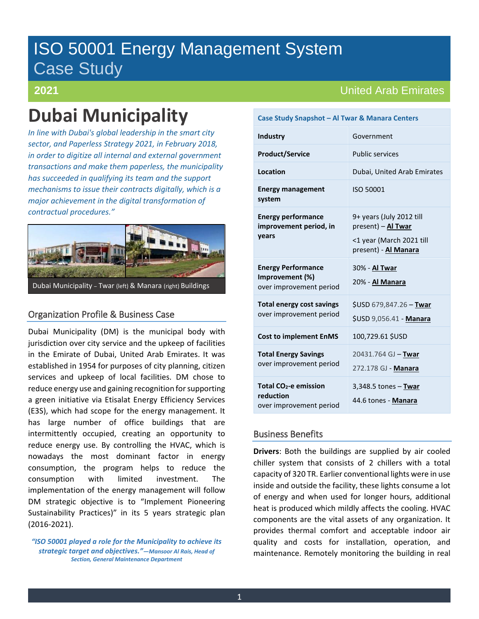# ISO 50001 Energy Management System Case Study

# **2021**

# **Dubai Municipality**

*In line with Dubai's global leadership in the smart city sector, and Paperless Strategy 2021, in February 2018, in order to digitize all internal and external government transactions and make them paperless, the municipality has succeeded in qualifying its team and the support mechanisms to issue their contracts digitally, which is a major achievement in the digital transformation of contractual procedures."*



# Organization Profile & Business Case

Dubai Municipality (DM) is the municipal body with jurisdiction over city service and the upkeep of facilities in the Emirate of Dubai, United Arab Emirates. It was established in 1954 for purposes of city planning, citizen services and upkeep of local facilities. DM chose to reduce energy use and gaining recognition for supporting a green initiative via Etisalat Energy Efficiency Services (E3S), which had scope for the energy management. It has large number of office buildings that are intermittently occupied, creating an opportunity to reduce energy use. By controlling the HVAC, which is nowadays the most dominant factor in energy consumption, the program helps to reduce the consumption with limited investment. The implementation of the energy management will follow DM strategic objective is to "Implement Pioneering Sustainability Practices)" in its 5 years strategic plan (2016-2021).

*"ISO 50001 played a role for the Municipality to achieve its strategic target and objectives."—Mansoor Al Rais, Head of Section, General Maintenance Department*

# United Arab Emirates

| Case Study Shapshot – Al Twar & Manara Centers                            |                                                                                                    |  |
|---------------------------------------------------------------------------|----------------------------------------------------------------------------------------------------|--|
| <b>Industry</b>                                                           | Government                                                                                         |  |
| <b>Product/Service</b>                                                    | <b>Public services</b>                                                                             |  |
| Location                                                                  | Dubai, United Arab Emirates                                                                        |  |
| <b>Energy management</b><br>system                                        | ISO 50001                                                                                          |  |
| <b>Energy performance</b><br>improvement period, in<br>years              | 9+ years (July 2012 till<br>present) - Al Twar<br><1 year (March 2021 till<br>present) - Al Manara |  |
| <b>Energy Performance</b><br>Improvement (%)<br>over improvement period   | 30% - Al Twar<br>20% - Al Manara                                                                   |  |
| <b>Total energy cost savings</b><br>over improvement period               | \$USD 679,847.26 - Twar<br>\$USD 9,056.41 - Manara                                                 |  |
| <b>Cost to implement EnMS</b>                                             | 100,729.61 \$USD                                                                                   |  |
| <b>Total Energy Savings</b><br>over improvement period                    | 20431.764 GJ - Twar<br>272.178 GJ - Manara                                                         |  |
| Total CO <sub>2</sub> -e emission<br>reduction<br>over improvement period | $3,348.5$ tones $-$ Twar<br>44.6 tones - Manara                                                    |  |

**Case Study Snapshot – Al Twar & Manara Centers**

# Business Benefits

**Drivers**: Both the buildings are supplied by air cooled chiller system that consists of 2 chillers with a total capacity of 320 TR. Earlier conventional lights were in use inside and outside the facility, these lights consume a lot of energy and when used for longer hours, additional heat is produced which mildly affects the cooling. HVAC components are the vital assets of any organization. It provides thermal comfort and acceptable indoor air quality and costs for installation, operation, and maintenance. Remotely monitoring the building in real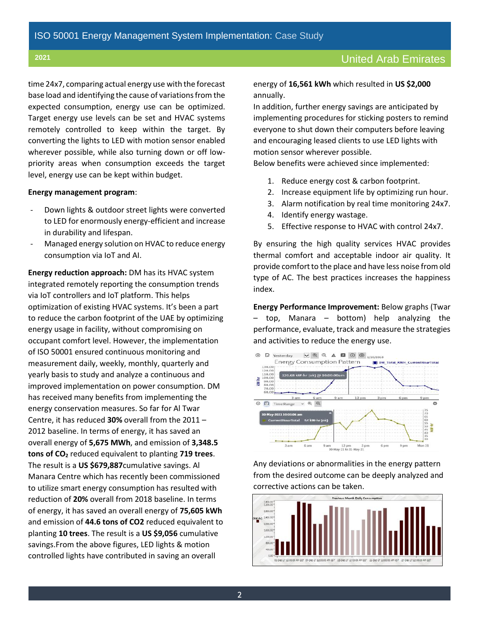time 24x7, comparing actual energy use with the forecast base load and identifying the cause of variations from the expected consumption, energy use can be optimized. Target energy use levels can be set and HVAC systems remotely controlled to keep within the target. By converting the lights to LED with motion sensor enabled wherever possible, while also turning down or off lowpriority areas when consumption exceeds the target level, energy use can be kept within budget.

#### **Energy management program**:

- Down lights & outdoor street lights were converted to LED for enormously energy-efficient and increase in durability and lifespan.
- Managed energy solution on HVAC to reduce energy consumption via IoT and AI.

**Energy reduction approach:** DM has its HVAC system integrated remotely reporting the consumption trends via IoT controllers and IoT platform. This helps optimization of existing HVAC systems. It's been a part to reduce the carbon footprint of the UAE by optimizing energy usage in facility, without compromising on occupant comfort level. However, the implementation of ISO 50001 ensured continuous monitoring and measurement daily, weekly, monthly, quarterly and yearly basis to study and analyze a continuous and improved implementation on power consumption. DM has received many benefits from implementing the energy conservation measures. So far for Al Twar Centre, it has reduced **30%** overall from the 2011 – 2012 baseline. In terms of energy, it has saved an overall energy of **5,675 MWh**, and emission of **3,348.5 tons of CO2** reduced equivalent to planting **719 trees**. The result is a **US \$679,887**cumulative savings. Al Manara Centre which has recently been commissioned to utilize smart energy consumption has resulted with reduction of **20%** overall from 2018 baseline. In terms of energy, it has saved an overall energy of **75,605 kWh** and emission of **44.6 tons of CO2** reduced equivalent to planting **10 trees**. The result is a **US \$9,056** cumulative savings.From the above figures, LED lights & motion controlled lights have contributed in saving an overall

energy of **16,561 kWh** which resulted in **US \$2,000** annually.

In addition, further energy savings are anticipated by implementing procedures for sticking posters to remind everyone to shut down their computers before leaving and encouraging leased clients to use LED lights with motion sensor wherever possible.

Below benefits were achieved since implemented:

- 1. Reduce energy cost & carbon footprint.
- 2. Increase equipment life by optimizing run hour.
- 3. Alarm notification by real time monitoring 24x7.
- 4. Identify energy wastage.
- 5. Effective response to HVAC with control 24x7.

By ensuring the high quality services HVAC provides thermal comfort and acceptable indoor air quality. It provide comfort to the place and have less noise from old type of AC. The best practices increases the happiness index.

**Energy Performance Improvement:** Below graphs (Twar – top, Manara – bottom) help analyzing the performance, evaluate, track and measure the strategies and activities to reduce the energy use.



Any deviations or abnormalities in the energy pattern from the desired outcome can be deeply analyzed and corrective actions can be taken.

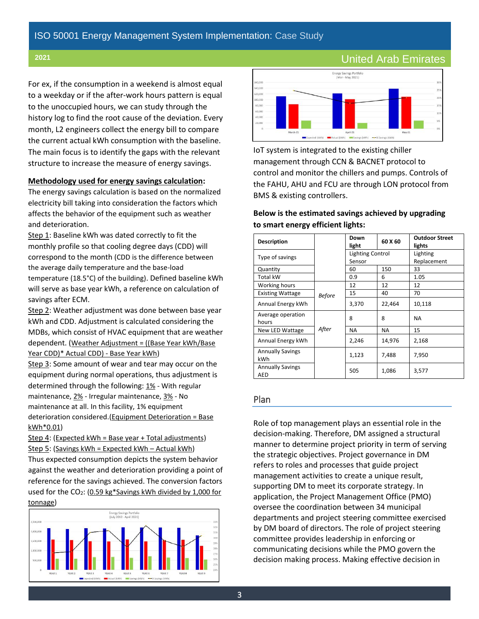For ex, if the consumption in a weekend is almost equal to a weekday or if the after-work hours pattern is equal to the unoccupied hours, we can study through the history log to find the root cause of the deviation. Every month, L2 engineers collect the energy bill to compare the current actual kWh consumption with the baseline. The main focus is to identify the gaps with the relevant structure to increase the measure of energy savings.

#### **Methodology used for energy savings calculation:**

The energy savings calculation is based on the normalized electricity bill taking into consideration the factors which affects the behavior of the equipment such as weather and deterioration.

Step 1: Baseline kWh was dated correctly to fit the monthly profile so that cooling degree days (CDD) will correspond to the month (CDD is the difference between the average daily temperature and the base-load temperature (18.5°C) of the building). Defined baseline kWh will serve as base year kWh, a reference on calculation of savings after ECM.

Step 2: Weather adjustment was done between base year kWh and CDD. Adjustment is calculated considering the MDBs, which consist of HVAC equipment that are weather dependent. (Weather Adjustment = ((Base Year kWh/Base Year CDD)\* Actual CDD) - Base Year kWh)

Step 3: Some amount of wear and tear may occur on the equipment during normal operations, thus adjustment is determined through the following: 1% - With regular maintenance, 2% - Irregular maintenance, 3% - No maintenance at all. In this facility, 1% equipment deterioration considered.(Equipment Deterioration = Base kWh\*0.01)

Step 4: (Expected kWh = Base year + Total adjustments) Step 5: (Savings kWh = Expected kWh – Actual kWh) Thus expected consumption depicts the system behavior

against the weather and deterioration providing a point of reference for the savings achieved. The conversion factors used for the  $CO_2$ : (0.59 kg\*Savings kWh divided by 1,000 for tonnage)





IoT system is integrated to the existing chiller management through CCN & BACNET protocol to control and monitor the chillers and pumps. Controls of the FAHU, AHU and FCU are through LON protocol from BMS & existing controllers.

### **Below is the estimated savings achieved by upgrading to smart energy efficient lights:**

| <b>Description</b>             |               | Down<br>light                     | 60 X 60 | <b>Outdoor Street</b><br>lights |
|--------------------------------|---------------|-----------------------------------|---------|---------------------------------|
| Type of savings                |               | <b>Lighting Control</b><br>Sensor |         | Lighting<br>Replacement         |
| Quantity                       |               | 60                                | 150     | 33                              |
| <b>Total kW</b>                |               | 0.9                               | 6       | 1.05                            |
| Working hours                  |               | 12                                | 12      | 12                              |
| <b>Existing Wattage</b>        | <b>Before</b> | 15                                | 40      | 70                              |
| Annual Energy kWh              |               | 3,370                             | 22,464  | 10,118                          |
| Average operation<br>hours     |               | 8                                 | 8       | <b>NA</b>                       |
| New LED Wattage                | After         | <b>NA</b>                         | NA.     | 15                              |
| Annual Energy kWh              |               | 2,246                             | 14,976  | 2,168                           |
| <b>Annually Savings</b><br>kWh |               | 1,123                             | 7,488   | 7,950                           |
| <b>Annually Savings</b><br>AED |               | 505                               | 1,086   | 3,577                           |

### Plan

Role of top management plays an essential role in the decision-making. Therefore, DM assigned a structural manner to determine project priority in term of serving the strategic objectives. Project governance in DM refers to roles and processes that guide project management activities to create a unique result, supporting DM to meet its corporate strategy. In application, the Project Management Office (PMO) oversee the coordination between 34 municipal departments and project steering committee exercised by DM board of directors. The role of project steering committee provides leadership in enforcing or communicating decisions while the PMO govern the decision making process. Making effective decision in

# **<sup>2021</sup>** United Arab Emirates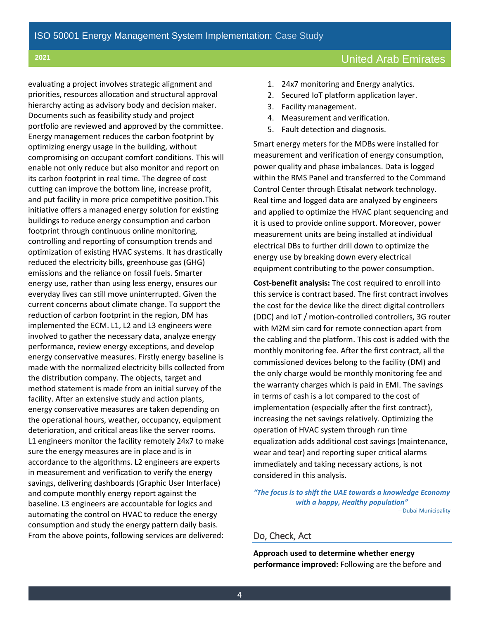evaluating a project involves strategic alignment and priorities, resources allocation and structural approval hierarchy acting as advisory body and decision maker. Documents such as feasibility study and project portfolio are reviewed and approved by the committee. Energy management reduces the carbon footprint by optimizing energy usage in the building, without compromising on occupant comfort conditions. This will enable not only reduce but also monitor and report on its carbon footprint in real time. The degree of cost cutting can improve the bottom line, increase profit, and put facility in more price competitive position.This initiative offers a managed energy solution for existing buildings to reduce energy consumption and carbon footprint through continuous online monitoring, controlling and reporting of consumption trends and optimization of existing HVAC systems. It has drastically reduced the electricity bills, greenhouse gas (GHG) emissions and the reliance on fossil fuels. Smarter energy use, rather than using less energy, ensures our everyday lives can still move uninterrupted. Given the current concerns about climate change. To support the reduction of carbon footprint in the region, DM has implemented the ECM. L1, L2 and L3 engineers were involved to gather the necessary data, analyze energy performance, review energy exceptions, and develop energy conservative measures. Firstly energy baseline is made with the normalized electricity bills collected from the distribution company. The objects, target and method statement is made from an initial survey of the facility. After an extensive study and action plants, energy conservative measures are taken depending on the operational hours, weather, occupancy, equipment deterioration, and critical areas like the server rooms. L1 engineers monitor the facility remotely 24x7 to make sure the energy measures are in place and is in accordance to the algorithms. L2 engineers are experts in measurement and verification to verify the energy savings, delivering dashboards (Graphic User Interface) and compute monthly energy report against the baseline. L3 engineers are accountable for logics and automating the control on HVAC to reduce the energy consumption and study the energy pattern daily basis. From the above points, following services are delivered:

# **<sup>2021</sup>** United Arab Emirates

- 1. 24x7 monitoring and Energy analytics.
- 2. Secured IoT platform application layer.
- 3. Facility management.
- 4. Measurement and verification.
- 5. Fault detection and diagnosis.

Smart energy meters for the MDBs were installed for measurement and verification of energy consumption, power quality and phase imbalances. Data is logged within the RMS Panel and transferred to the Command Control Center through Etisalat network technology. Real time and logged data are analyzed by engineers and applied to optimize the HVAC plant sequencing and it is used to provide online support. Moreover, power measurement units are being installed at individual electrical DBs to further drill down to optimize the energy use by breaking down every electrical equipment contributing to the power consumption.

**Cost-benefit analysis:** The cost required to enroll into this service is contract based. The first contract involves the cost for the device like the direct digital controllers (DDC) and IoT / motion-controlled controllers, 3G router with M2M sim card for remote connection apart from the cabling and the platform. This cost is added with the monthly monitoring fee. After the first contract, all the commissioned devices belong to the facility (DM) and the only charge would be monthly monitoring fee and the warranty charges which is paid in EMI. The savings in terms of cash is a lot compared to the cost of implementation (especially after the first contract), increasing the net savings relatively. Optimizing the operation of HVAC system through run time equalization adds additional cost savings (maintenance, wear and tear) and reporting super critical alarms immediately and taking necessary actions, is not considered in this analysis.

*"The focus is to shift the UAE towards a knowledge Economy with a happy, Healthy population"* —Dubai Municipality

## Do, Check, Act

**Approach used to determine whether energy performance improved:** Following are the before and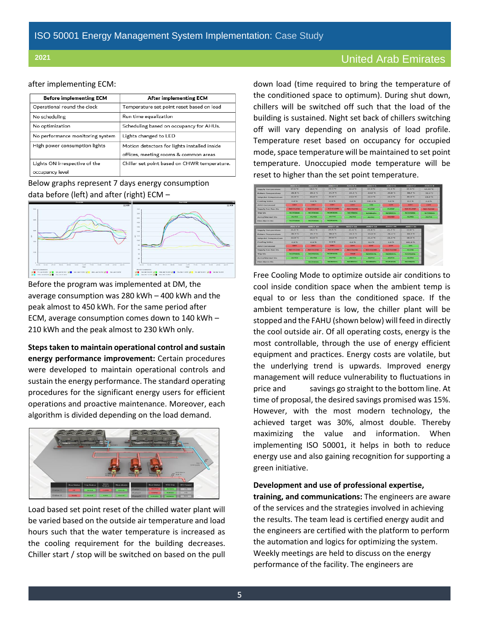#### after implementing ECM:

| <b>Before implementing ECM</b>   | After implementing ECM                       |
|----------------------------------|----------------------------------------------|
| Operational round the clock      | Temperature set point reset based on load    |
| No scheduling                    | Run time equalization                        |
| No optimization                  | Scheduling based on occupancy for AHUs.      |
| No performance monitoring system | Lights changed to LED                        |
| High power consumption lights    | Motion detectors for lights installed inside |
|                                  | offices, meeting rooms & common areas        |
| Lights ON irrespective of the    | Chiller set point based on CHWR temperature. |
| occupancy level                  |                                              |

## Below graphs represent 7 days energy consumption data before (left) and after (right) ECM –



Before the program was implemented at DM, the average consumption was 280 kWh – 400 kWh and the peak almost to 450 kWh. For the same period after ECM, average consumption comes down to 140 kWh – 210 kWh and the peak almost to 230 kWh only.

**Steps taken to maintain operational control and sustain energy performance improvement:** Certain procedures were developed to maintain operational controls and sustain the energy performance. The standard operating procedures for the significant energy users for efficient operations and proactive maintenance. Moreover, each algorithm is divided depending on the load demand.



Load based set point reset of the chilled water plant will be varied based on the outside air temperature and load hours such that the water temperature is increased as the cooling requirement for the building decreases. Chiller start / stop will be switched on based on the pull

down load (time required to bring the temperature of the conditioned space to optimum). During shut down, chillers will be switched off such that the load of the building is sustained. Night set back of chillers switching off will vary depending on analysis of load profile. Temperature reset based on occupancy for occupied mode, space temperature will be maintained to set point temperature. Unoccupied mode temperature will be reset to higher than the set point temperature.



Free Cooling Mode to optimize outside air conditions to cool inside condition space when the ambient temp is equal to or less than the conditioned space. If the ambient temperature is low, the chiller plant will be stopped and the FAHU (shown below) will feed in directly the cool outside air. Of all operating costs, energy is the most controllable, through the use of energy efficient equipment and practices. Energy costs are volatile, but the underlying trend is upwards. Improved energy management will reduce vulnerability to fluctuations in price and savings go straight to the bottom line. At time of proposal, the desired savings promised was 15%. However, with the most modern technology, the achieved target was 30%, almost double. Thereby maximizing the value and information. When implementing ISO 50001, it helps in both to reduce energy use and also gaining recognition for supporting a green initiative.

**Development and use of professional expertise, training, and communications:** The engineers are aware of the services and the strategies involved in achieving the results. The team lead is certified energy audit and the engineers are certified with the platform to perform the automation and logics for optimizing the system. Weekly meetings are held to discuss on the energy performance of the facility. The engineers are

# **<sup>2021</sup>** United Arab Emirates